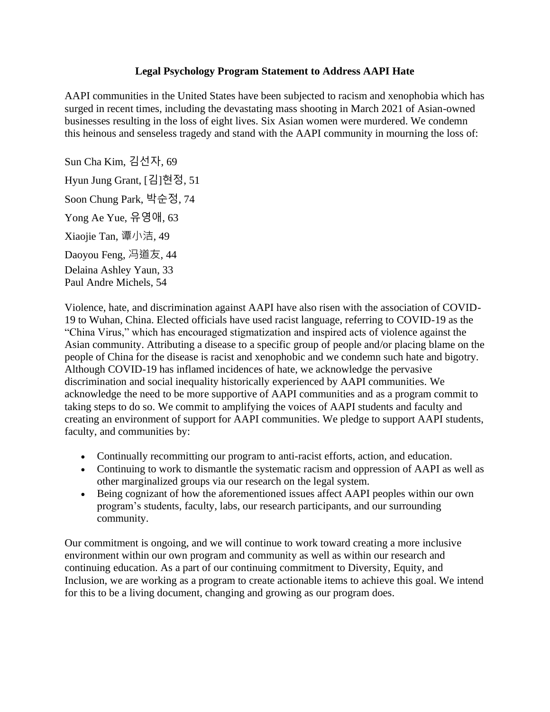## **Legal Psychology Program Statement to Address AAPI Hate**

AAPI communities in the United States have been subjected to racism and xenophobia which has surged in recent times, including the devastating mass shooting in March 2021 of Asian-owned businesses resulting in the loss of eight lives. Six Asian women were murdered. We condemn this heinous and senseless tragedy and stand with the AAPI community in mourning the loss of:

Sun Cha Kim, 김선자, 69 Hyun Jung Grant, [김]현정, 51 Soon Chung Park, 박순정, 74 Yong Ae Yue, 유영애, 63 Xiaojie Tan, 谭小洁, 49 Daoyou Feng, 冯道友, 44 Delaina Ashley Yaun, 33 Paul Andre Michels, 54

Violence, hate, and discrimination against AAPI have also risen with the association of COVID-19 to Wuhan, China. Elected officials have used racist language, referring to COVID-19 as the "China Virus," which has encouraged stigmatization and inspired acts of violence against the Asian community. Attributing a disease to a specific group of people and/or placing blame on the people of China for the disease is racist and xenophobic and we condemn such hate and bigotry. Although COVID-19 has inflamed incidences of hate, we acknowledge the pervasive discrimination and social inequality historically experienced by AAPI communities. We acknowledge the need to be more supportive of AAPI communities and as a program commit to taking steps to do so. We commit to amplifying the voices of AAPI students and faculty and creating an environment of support for AAPI communities. We pledge to support AAPI students, faculty, and communities by:

- Continually recommitting our program to anti-racist efforts, action, and education.
- Continuing to work to dismantle the systematic racism and oppression of AAPI as well as other marginalized groups via our research on the legal system.
- Being cognizant of how the aforementioned issues affect AAPI peoples within our own program's students, faculty, labs, our research participants, and our surrounding community.

Our commitment is ongoing, and we will continue to work toward creating a more inclusive environment within our own program and community as well as within our research and continuing education. As a part of our continuing commitment to Diversity, Equity, and Inclusion, we are working as a program to create actionable items to achieve this goal. We intend for this to be a living document, changing and growing as our program does.